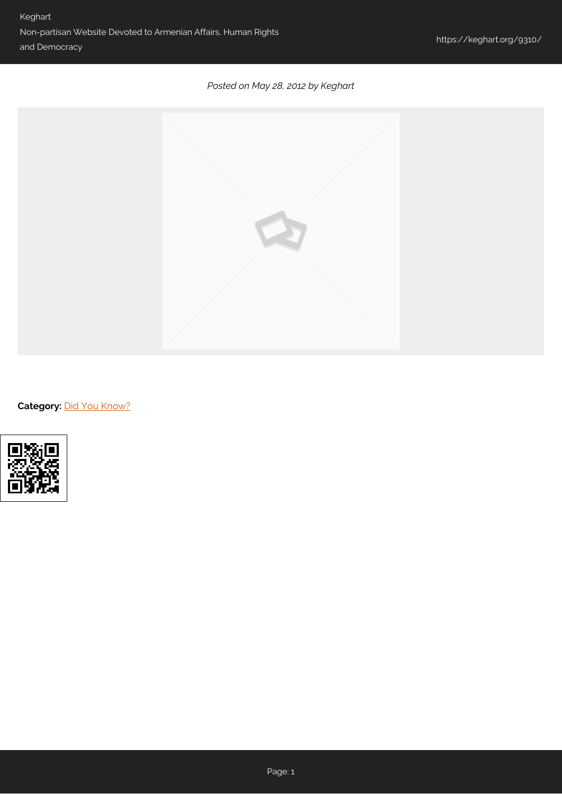## *Posted on May 28, 2012 by Keghart*



**Category: [Did You Know?](https://keghart.org/category/did-you-know/)**